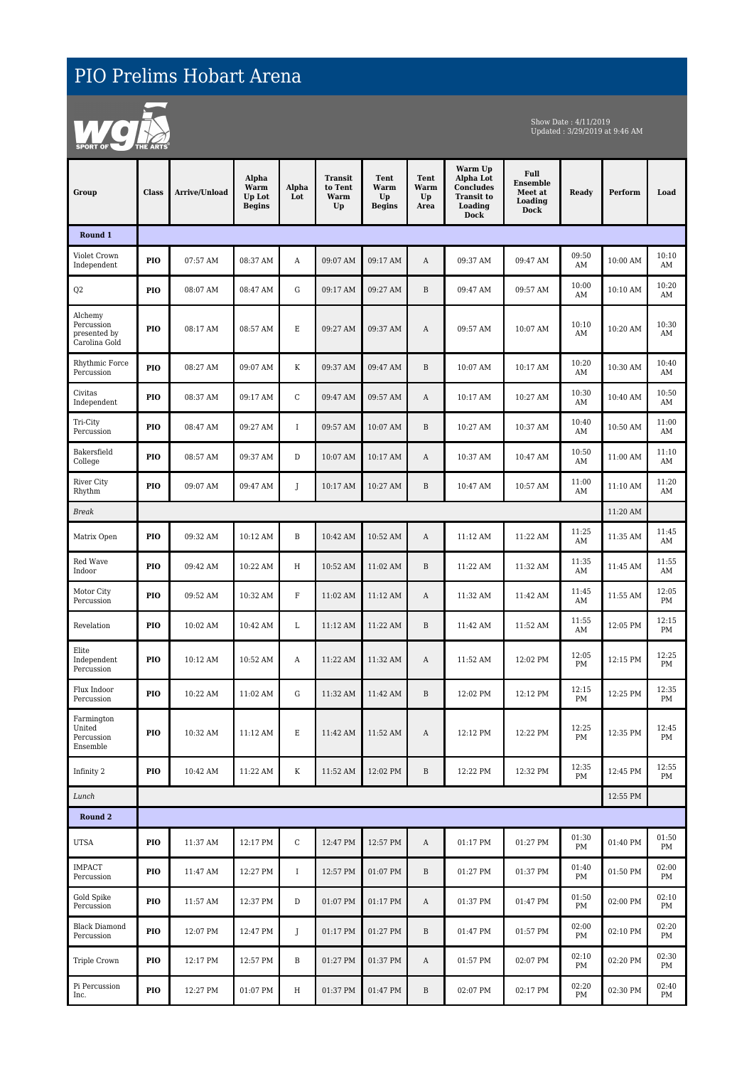## PIO Prelims Hobart Arena



Show Date : 4/11/2019 Updated : 3/29/2019 at 9:46 AM

| Group                                                  | <b>Class</b> | <b>Arrive/Unload</b> | Alpha<br>Warm<br>Up Lot<br><b>Begins</b> | Alpha<br>Lot | <b>Transit</b><br>to Tent<br>Warm<br>Up | Tent<br>Warm<br>Up<br><b>Begins</b> | Tent<br>Warm<br>Up<br>Area | Warm Up<br>Alpha Lot<br><b>Concludes</b><br><b>Transit to</b><br>Loading<br><b>Dock</b> | Full<br><b>Ensemble</b><br>Meet at<br>Loading<br><b>Dock</b> | Ready       | Perform  | Load        |
|--------------------------------------------------------|--------------|----------------------|------------------------------------------|--------------|-----------------------------------------|-------------------------------------|----------------------------|-----------------------------------------------------------------------------------------|--------------------------------------------------------------|-------------|----------|-------------|
| Round 1                                                |              |                      |                                          |              |                                         |                                     |                            |                                                                                         |                                                              |             |          |             |
| Violet Crown<br>Independent                            | PIO          | 07:57 AM             | 08:37 AM                                 | A            | 09:07 AM                                | 09:17 AM                            | A                          | 09:37 AM                                                                                | 09:47 AM                                                     | 09:50<br>AM | 10:00 AM | 10:10<br>AM |
| Q2                                                     | PIO          | 08:07 AM             | 08:47 AM                                 | G            | 09:17 AM                                | 09:27 AM                            | $\, {\bf B}$               | 09:47 AM                                                                                | 09:57 AM                                                     | 10:00<br>AM | 10:10 AM | 10:20<br>AM |
| Alchemy<br>Percussion<br>presented by<br>Carolina Gold | PIO          | 08:17 AM             | 08:57 AM                                 | $\mathbf E$  | 09:27 AM                                | 09:37 AM                            | A                          | 09:57 AM                                                                                | 10:07 AM                                                     | 10:10<br>AM | 10:20 AM | 10:30<br>AM |
| Rhythmic Force<br>Percussion                           | PIO          | 08:27 AM             | 09:07 AM                                 | K            | 09:37 AM                                | 09:47 AM                            | B                          | 10:07 AM                                                                                | 10:17 AM                                                     | 10:20<br>AM | 10:30 AM | 10:40<br>AM |
| Civitas<br>Independent                                 | PIO          | 08:37 AM             | 09:17 AM                                 | $\mathcal C$ | 09:47 AM                                | 09:57 AM                            | A                          | 10:17 AM                                                                                | 10:27 AM                                                     | 10:30<br>AM | 10:40 AM | 10:50<br>AM |
| Tri-City<br>Percussion                                 | PIO          | 08:47 AM             | 09:27 AM                                 | $\rm I$      | 09:57 AM                                | 10:07 AM                            | $\, {\bf B}$               | 10:27 AM                                                                                | 10:37 AM                                                     | 10:40<br>AM | 10:50 AM | 11:00<br>AM |
| Bakersfield<br>College                                 | PIO          | 08:57 AM             | 09:37 AM                                 | D            | 10:07 AM                                | 10:17 AM                            | A                          | 10:37 AM                                                                                | 10:47 AM                                                     | 10:50<br>AM | 11:00 AM | 11:10<br>AM |
| <b>River City</b><br>Rhythm                            | PIO          | 09:07 AM             | 09:47 AM                                 | J            | 10:17 AM                                | 10:27 AM                            | B                          | 10:47 AM                                                                                | 10:57 AM                                                     | 11:00<br>AM | 11:10 AM | 11:20<br>AM |
| Break                                                  |              |                      |                                          |              |                                         |                                     |                            |                                                                                         |                                                              |             |          |             |
| Matrix Open                                            | PIO          | 09:32 AM             | 10:12 AM                                 | B            | 10:42 AM                                | 10:52 AM                            | A                          | 11:12 AM                                                                                | 11:22 AM                                                     | 11:25<br>AM | 11:35 AM | 11:45<br>AM |
| Red Wave<br>Indoor                                     | PIO          | 09:42 AM             | 10:22 AM                                 | Η            | 10:52 AM                                | 11:02 AM                            | B                          | 11:22 AM                                                                                | 11:32 AM                                                     | 11:35<br>AM | 11:45 AM | 11:55<br>AM |
| Motor City<br>Percussion                               | PIO          | 09:52 AM             | 10:32 AM                                 | F            | 11:02 AM                                | 11:12 AM                            | A                          | 11:32 AM                                                                                | 11:42 AM                                                     | 11:45<br>AM | 11:55 AM | 12:05<br>PM |
| Revelation                                             | PIO          | 10:02 AM             | 10:42 AM                                 | L            | 11:12 AM                                | 11:22 AM                            | B                          | 11:42 AM                                                                                | 11:52 AM                                                     | 11:55<br>AM | 12:05 PM | 12:15<br>PM |
| Elite<br>Independent<br>Percussion                     | PIO          | 10:12 AM             | 10:52 AM                                 | A            | 11:22 AM                                | 11:32 AM                            | A                          | 11:52 AM                                                                                | 12:02 PM                                                     | 12:05<br>PM | 12:15 PM | 12:25<br>PM |
| Flux Indoor<br>Percussion                              | PIO          | 10:22 AM             | 11:02 AM                                 | G            | 11:32 AM                                | 11:42 AM                            | B                          | 12:02 PM                                                                                | 12:12 PM                                                     | 12:15<br>PM | 12:25 PM | 12:35<br>PM |
| Farmington<br>United<br>Percussion<br>Ensemble         | PIO          | 10:32 AM             | 11:12 AM                                 | Ε            | 11:42 AM                                | 11:52 AM                            | A                          | 12:12 PM                                                                                | 12:22 PM                                                     | 12:25<br>PM | 12:35 PM | 12:45<br>PM |
| Infinity 2                                             | PIO          | 10:42 AM             | 11:22 AM                                 | K            | 11:52 AM                                | 12:02 PM                            | B                          | 12:22 PM                                                                                | 12:32 PM                                                     | 12:35<br>PM | 12:45 PM | 12:55<br>PM |
| Lunch                                                  |              |                      |                                          |              |                                         |                                     |                            |                                                                                         |                                                              |             | 12:55 PM |             |
| Round 2                                                |              |                      |                                          |              |                                         |                                     |                            |                                                                                         |                                                              |             |          |             |
| UTSA                                                   | PIO          | 11:37 AM             | 12:17 PM                                 | $\mathbf C$  | 12:47 PM                                | 12:57 PM                            | A                          | 01:17 PM                                                                                | 01:27 PM                                                     | 01:30<br>PM | 01:40 PM | 01:50<br>PM |
| <b>IMPACT</b><br>Percussion                            | PIO          | 11:47 AM             | 12:27 PM                                 | $\bf{I}$     | 12:57 PM                                | 01:07 PM                            | B                          | 01:27 PM                                                                                | 01:37 PM                                                     | 01:40<br>PM | 01:50 PM | 02:00<br>PM |
| Gold Spike<br>Percussion                               | PIO          | 11:57 AM             | 12:37 PM                                 | D            | 01:07 PM                                | 01:17 PM                            | A                          | 01:37 PM                                                                                | 01:47 PM                                                     | 01:50<br>PM | 02:00 PM | 02:10<br>PM |
| <b>Black Diamond</b><br>Percussion                     | PIO          | 12:07 PM             | 12:47 PM                                 | J            | 01:17 PM                                | 01:27 PM                            | B                          | 01:47 PM                                                                                | 01:57 PM                                                     | 02:00<br>PM | 02:10 PM | 02:20<br>PM |
| Triple Crown                                           | PIO          | 12:17 PM             | 12:57 PM                                 | B            | 01:27 PM                                | 01:37 PM                            | A                          | 01:57 PM                                                                                | 02:07 PM                                                     | 02:10<br>PM | 02:20 PM | 02:30<br>PM |
| Pi Percussion<br>Inc.                                  | PIO          | 12:27 PM             | $01:07$ PM                               | Η            | 01:37 PM                                | 01:47 PM                            | B                          | 02:07 PM                                                                                | 02:17 PM                                                     | 02:20<br>PM | 02:30 PM | 02:40<br>PM |